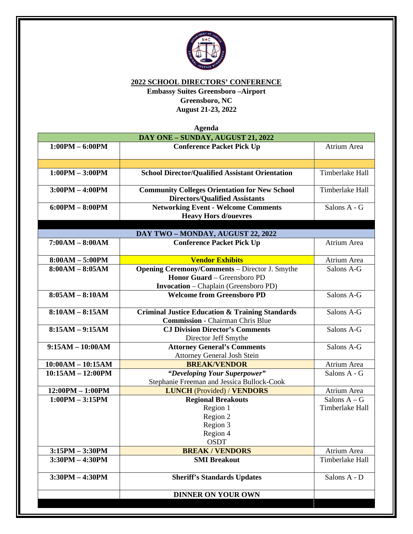

**2022 SCHOOL DIRECTORS' CONFERENCE**

**Embassy Suites Greensboro –Airport Greensboro, NC August 21-23, 2022**

**Agenda DAY ONE – SUNDAY, AUGUST 21, 2022 1:00PM – 6:00PM Conference Packet Pick Up** Atrium Area **1:00PM – 3:00PM** School Director/Qualified Assistant Orientation Timberlake Hall **3:00PM – 4:00PM Community Colleges Orientation for New School Directors/Qualified Assistants** Timberlake Hall **6:00PM – 8:00PM Networking Event - Welcome Comments Heavy Hors d/ouevres** Salons A - G **DAY TWO – MONDAY, AUGUST 22, 2022 7:00AM – 8:00AM**  $\qquad$  **Conference Packet Pick Up** Atrium Area **8:00AM – 5:00PM Vendor Exhibits Vendor Exhibits** Atrium Area **8:00AM – 8:05AM** Opening Ceremony/Comments – Director J. Smythe **Honor Guard** – Greensboro PD **Invocation** – Chaplain (Greensboro PD) Salons A-G **8:05AM – 8:10AM Welcome from Greensboro PD** Salons A-G **8:10AM – 8:15AM Criminal Justice Education & Training Standards Commission -** Chairman Chris Blue Salons A-G **8:15AM – 9:15AM CJ Division Director's Comments** Director Jeff Smythe Salons A-G **9:15AM – 10:00AM Attorney General's Comments Attorney General Josh Stein<br>BREAK/VENDOR** Salons A-G **10:00AM – 10:15AM BREAK/VENDOR** Atrium Area **10:15AM – 12:00PM** *"Developing Your Superpower"* Stephanie Freeman and Jessica Bullock-Cook Salons A - G **12:00PM** – **1:00PM LUNCH** (Provided) / **VENDORS** Atrium Area **1:00PM – 3:15PM Regional Breakouts** Region 1 Region 2 Region 3 Region 4 OSDT Salons  $A - G$ Timberlake Hall **3:15PM – 3:30PM**<br> **BREAK / VENDORS**<br> **SMI Breakout** Communicate Hall **3:30PM – 4:30PM SMI Breakout 3:30PM** – **4:30PM**  $\qquad$  **Sheriff's Standards Updates** Salons A - D **DINNER ON YOUR OWN**